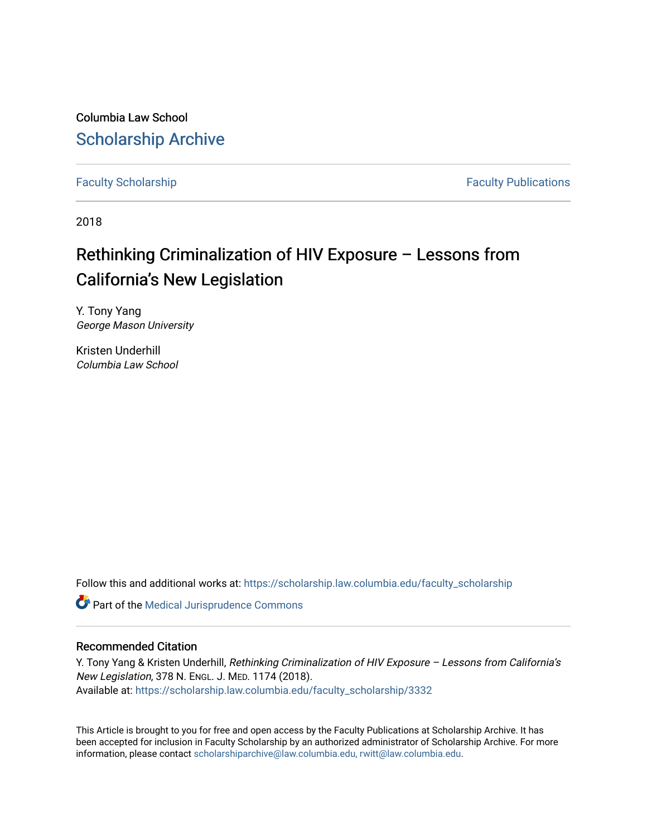Columbia Law School [Scholarship Archive](https://scholarship.law.columbia.edu/) 

[Faculty Scholarship](https://scholarship.law.columbia.edu/faculty_scholarship) **Faculty Scholarship Faculty Publications** 

2018

## Rethinking Criminalization of HIV Exposure – Lessons from California's New Legislation

Y. Tony Yang George Mason University

Kristen Underhill Columbia Law School

Follow this and additional works at: [https://scholarship.law.columbia.edu/faculty\\_scholarship](https://scholarship.law.columbia.edu/faculty_scholarship?utm_source=scholarship.law.columbia.edu%2Ffaculty_scholarship%2F3332&utm_medium=PDF&utm_campaign=PDFCoverPages)

Part of the [Medical Jurisprudence Commons](http://network.bepress.com/hgg/discipline/860?utm_source=scholarship.law.columbia.edu%2Ffaculty_scholarship%2F3332&utm_medium=PDF&utm_campaign=PDFCoverPages) 

## Recommended Citation

Y. Tony Yang & Kristen Underhill, Rethinking Criminalization of HIV Exposure - Lessons from California's New Legislation, 378 N. ENGL. J. MED. 1174 (2018). Available at: [https://scholarship.law.columbia.edu/faculty\\_scholarship/3332](https://scholarship.law.columbia.edu/faculty_scholarship/3332?utm_source=scholarship.law.columbia.edu%2Ffaculty_scholarship%2F3332&utm_medium=PDF&utm_campaign=PDFCoverPages)

This Article is brought to you for free and open access by the Faculty Publications at Scholarship Archive. It has been accepted for inclusion in Faculty Scholarship by an authorized administrator of Scholarship Archive. For more information, please contact [scholarshiparchive@law.columbia.edu, rwitt@law.columbia.edu](mailto:scholarshiparchive@law.columbia.edu,%20rwitt@law.columbia.edu).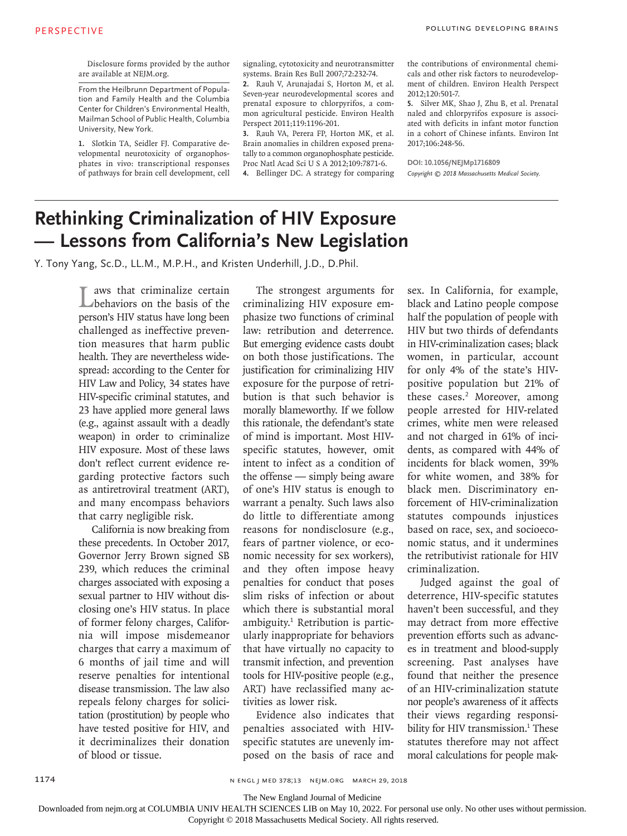Disclosure forms provided by the author are available at NEJM.org.

From the Heilbrunn Department of Population and Family Health and the Columbia Center for Children's Environmental Health, Mailman School of Public Health, Columbia University, New York.

**1.** Slotkin TA, Seidler FJ. Comparative developmental neurotoxicity of organophosphates in vivo: transcriptional responses of pathways for brain cell development, cell signaling, cytotoxicity and neurotransmitter systems. Brain Res Bull 2007;72:232-74.

**2.** Rauh V, Arunajadai S, Horton M, et al. Seven-year neurodevelopmental scores and prenatal exposure to chlorpyrifos, a common agricultural pesticide. Environ Health Perspect 2011;119:1196-201.

**3.** Rauh VA, Perera FP, Horton MK, et al. Brain anomalies in children exposed prenatally to a common organophosphate pesticide. Proc Natl Acad Sci U S A 2012;109:7871-6.

**4.** Bellinger DC. A strategy for comparing

the contributions of environmental chemicals and other risk factors to neurodevelopment of children. Environ Health Perspect 2012;120:501-7.

**5.** Silver MK, Shao J, Zhu B, et al. Prenatal naled and chlorpyrifos exposure is associated with deficits in infant motor function in a cohort of Chinese infants. Environ Int 2017;106:248-56.

**DOI: 10.1056/NEJMp1716809** *Copyright © 2018 Massachusetts Medical Society.* 

## **Rethinking Criminalization of HIV Exposure — Lessons from California's New Legislation**

Y. Tony Yang, Sc.D., LL.M., M.P.H., and Kristen Underhill, J.D., D.Phil.

Laws that criminalize certain<br>
behaviors on the basis of the person's HIV status have long been challenged as ineffective prevention measures that harm public health. They are nevertheless widespread: according to the Center for HIV Law and Policy, 34 states have HIV-specific criminal statutes, and 23 have applied more general laws (e.g., against assault with a deadly weapon) in order to criminalize HIV exposure. Most of these laws don't reflect current evidence regarding protective factors such as antiretroviral treatment (ART), and many encompass behaviors that carry negligible risk.

California is now breaking from these precedents. In October 2017, Governor Jerry Brown signed SB 239, which reduces the criminal charges associated with exposing a sexual partner to HIV without disclosing one's HIV status. In place of former felony charges, California will impose misdemeanor charges that carry a maximum of 6 months of jail time and will reserve penalties for intentional disease transmission. The law also repeals felony charges for solicitation (prostitution) by people who have tested positive for HIV, and it decriminalizes their donation of blood or tissue.

The strongest arguments for criminalizing HIV exposure emphasize two functions of criminal law: retribution and deterrence. But emerging evidence casts doubt on both those justifications. The justification for criminalizing HIV exposure for the purpose of retribution is that such behavior is morally blameworthy. If we follow this rationale, the defendant's state of mind is important. Most HIVspecific statutes, however, omit intent to infect as a condition of the offense — simply being aware of one's HIV status is enough to warrant a penalty. Such laws also do little to differentiate among reasons for nondisclosure (e.g., fears of partner violence, or economic necessity for sex workers), and they often impose heavy penalties for conduct that poses slim risks of infection or about which there is substantial moral ambiguity.<sup>1</sup> Retribution is particularly inappropriate for behaviors that have virtually no capacity to transmit infection, and prevention tools for HIV-positive people (e.g., ART) have reclassified many activities as lower risk.

Evidence also indicates that penalties associated with HIVspecific statutes are unevenly imposed on the basis of race and sex. In California, for example, black and Latino people compose half the population of people with HIV but two thirds of defendants in HIV-criminalization cases; black women, in particular, account for only 4% of the state's HIVpositive population but 21% of these cases.<sup>2</sup> Moreover, among people arrested for HIV-related crimes, white men were released and not charged in 61% of incidents, as compared with 44% of incidents for black women, 39% for white women, and 38% for black men. Discriminatory enforcement of HIV-criminalization statutes compounds injustices based on race, sex, and socioeconomic status, and it undermines the retributivist rationale for HIV criminalization.

Judged against the goal of deterrence, HIV-specific statutes haven't been successful, and they may detract from more effective prevention efforts such as advances in treatment and blood-supply screening. Past analyses have found that neither the presence of an HIV-criminalization statute nor people's awareness of it affects their views regarding responsibility for HIV transmission.<sup>1</sup> These statutes therefore may not affect moral calculations for people mak-

n engl j med 378;13 nejm.org March 29, 2018

The New England Journal of Medicine

Downloaded from nejm.org at COLUMBIA UNIV HEALTH SCIENCES LIB on May 10, 2022. For personal use only. No other uses without permission.

Copyright © 2018 Massachusetts Medical Society. All rights reserved.